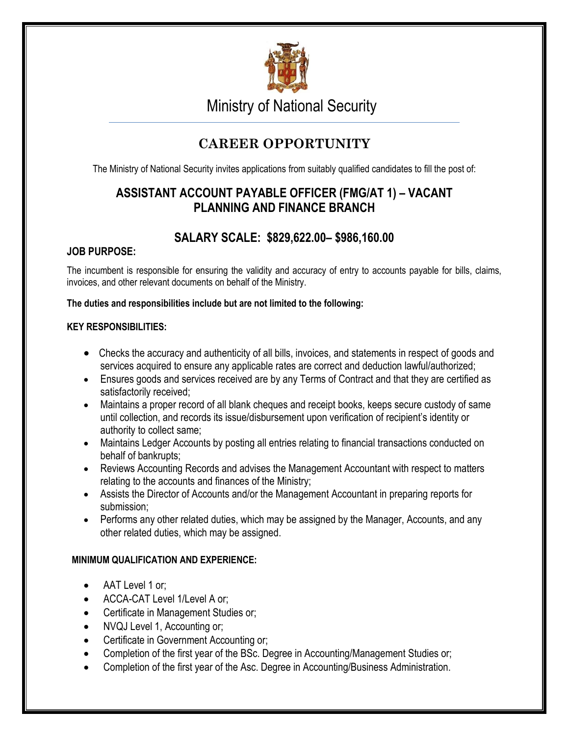

Ministry of National Security

# **CAREER OPPORTUNITY**

The Ministry of National Security invites applications from suitably qualified candidates to fill the post of:

# **ASSISTANT ACCOUNT PAYABLE OFFICER (FMG/AT 1) – VACANT PLANNING AND FINANCE BRANCH**

## **SALARY SCALE: \$829,622.00– \$986,160.00**

### **JOB PURPOSE:**

The incumbent is responsible for ensuring the validity and accuracy of entry to accounts payable for bills, claims, invoices, and other relevant documents on behalf of the Ministry.

#### **The duties and responsibilities include but are not limited to the following:**

#### **KEY RESPONSIBILITIES:**

- Checks the accuracy and authenticity of all bills, invoices, and statements in respect of goods and services acquired to ensure any applicable rates are correct and deduction lawful/authorized;
- Ensures goods and services received are by any Terms of Contract and that they are certified as satisfactorily received;
- Maintains a proper record of all blank cheques and receipt books, keeps secure custody of same until collection, and records its issue/disbursement upon verification of recipient's identity or authority to collect same;
- Maintains Ledger Accounts by posting all entries relating to financial transactions conducted on behalf of bankrupts;
- Reviews Accounting Records and advises the Management Accountant with respect to matters relating to the accounts and finances of the Ministry;
- Assists the Director of Accounts and/or the Management Accountant in preparing reports for submission;
- Performs any other related duties, which may be assigned by the Manager, Accounts, and any other related duties, which may be assigned.

### **MINIMUM QUALIFICATION AND EXPERIENCE:**

- AAT Level 1 or;
- ACCA-CAT Level 1/Level A or;
- Certificate in Management Studies or;
- NVQJ Level 1, Accounting or;
- Certificate in Government Accounting or;
- Completion of the first year of the BSc. Degree in Accounting/Management Studies or;
- Completion of the first year of the Asc. Degree in Accounting/Business Administration.